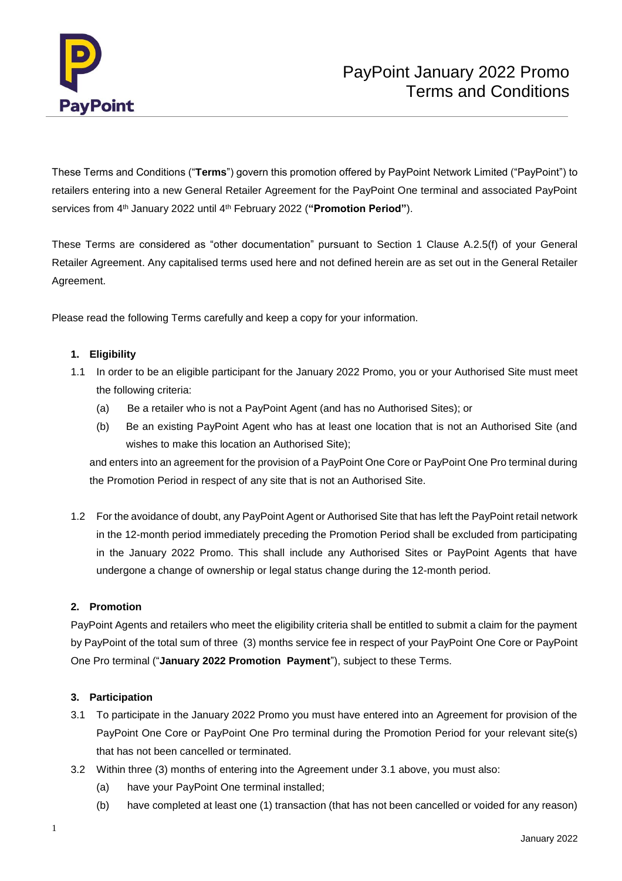

These Terms and Conditions ("**Terms**") govern this promotion offered by PayPoint Network Limited ("PayPoint") to retailers entering into a new General Retailer Agreement for the PayPoint One terminal and associated PayPoint services from 4<sup>th</sup> January 2022 until 4<sup>th</sup> February 2022 ("Promotion Period").

These Terms are considered as "other documentation" pursuant to Section 1 Clause A.2.5(f) of your General Retailer Agreement. Any capitalised terms used here and not defined herein are as set out in the General Retailer Agreement.

Please read the following Terms carefully and keep a copy for your information.

# **1. Eligibility**

- 1.1 In order to be an eligible participant for the January 2022 Promo, you or your Authorised Site must meet the following criteria:
	- (a) Be a retailer who is not a PayPoint Agent (and has no Authorised Sites); or
	- (b) Be an existing PayPoint Agent who has at least one location that is not an Authorised Site (and wishes to make this location an Authorised Site);

and enters into an agreement for the provision of a PayPoint One Core or PayPoint One Pro terminal during the Promotion Period in respect of any site that is not an Authorised Site.

1.2 For the avoidance of doubt, any PayPoint Agent or Authorised Site that has left the PayPoint retail network in the 12-month period immediately preceding the Promotion Period shall be excluded from participating in the January 2022 Promo. This shall include any Authorised Sites or PayPoint Agents that have undergone a change of ownership or legal status change during the 12-month period.

## **2. Promotion**

PayPoint Agents and retailers who meet the eligibility criteria shall be entitled to submit a claim for the payment by PayPoint of the total sum of three (3) months service fee in respect of your PayPoint One Core or PayPoint One Pro terminal ("**January 2022 Promotion Payment**"), subject to these Terms.

## **3. Participation**

- 3.1 To participate in the January 2022 Promo you must have entered into an Agreement for provision of the PayPoint One Core or PayPoint One Pro terminal during the Promotion Period for your relevant site(s) that has not been cancelled or terminated.
- 3.2 Within three (3) months of entering into the Agreement under 3.1 above, you must also:
	- (a) have your PayPoint One terminal installed;
	- (b) have completed at least one (1) transaction (that has not been cancelled or voided for any reason)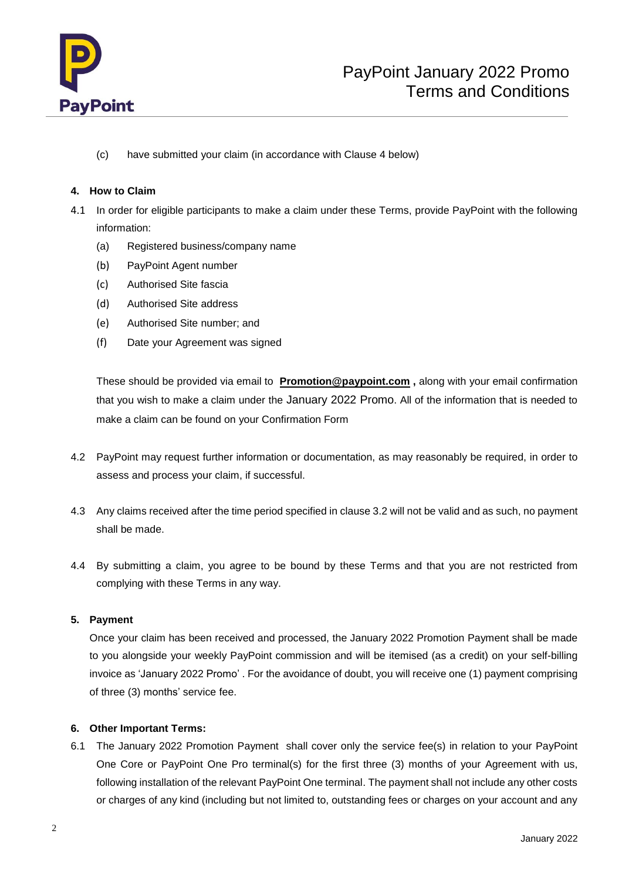

(c) have submitted your claim (in accordance with Clause 4 below)

## **4. How to Claim**

- 4.1 In order for eligible participants to make a claim under these Terms, provide PayPoint with the following information:
	- (a) Registered business/company name
	- (b) PayPoint Agent number
	- (c) Authorised Site fascia
	- (d) Authorised Site address
	- (e) Authorised Site number; and
	- (f) Date your Agreement was signed

These should be provided via email to **[Promotion@paypoint.com](mailto:Promotion@paypoint.com) ,** along with your email confirmation that you wish to make a claim under the January 2022 Promo. All of the information that is needed to make a claim can be found on your Confirmation Form

- 4.2 PayPoint may request further information or documentation, as may reasonably be required, in order to assess and process your claim, if successful.
- 4.3 Any claims received after the time period specified in clause 3.2 will not be valid and as such, no payment shall be made.
- 4.4 By submitting a claim, you agree to be bound by these Terms and that you are not restricted from complying with these Terms in any way.

## **5. Payment**

Once your claim has been received and processed, the January 2022 Promotion Payment shall be made to you alongside your weekly PayPoint commission and will be itemised (as a credit) on your self-billing invoice as 'January 2022 Promo' . For the avoidance of doubt, you will receive one (1) payment comprising of three (3) months' service fee.

## **6. Other Important Terms:**

6.1 The January 2022 Promotion Payment shall cover only the service fee(s) in relation to your PayPoint One Core or PayPoint One Pro terminal(s) for the first three (3) months of your Agreement with us, following installation of the relevant PayPoint One terminal. The payment shall not include any other costs or charges of any kind (including but not limited to, outstanding fees or charges on your account and any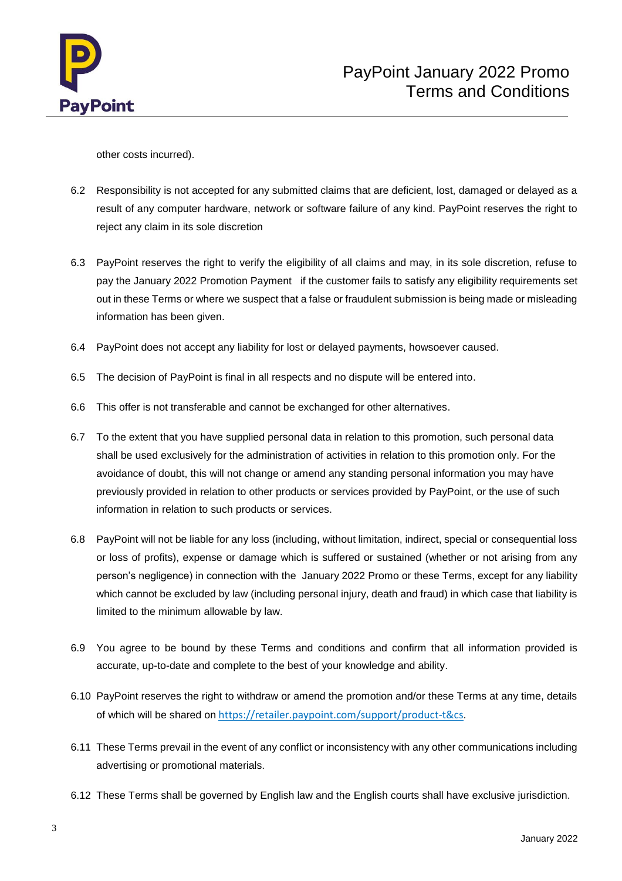

other costs incurred).

- 6.2 Responsibility is not accepted for any submitted claims that are deficient, lost, damaged or delayed as a result of any computer hardware, network or software failure of any kind. PayPoint reserves the right to reject any claim in its sole discretion
- 6.3 PayPoint reserves the right to verify the eligibility of all claims and may, in its sole discretion, refuse to pay the January 2022 Promotion Payment if the customer fails to satisfy any eligibility requirements set out in these Terms or where we suspect that a false or fraudulent submission is being made or misleading information has been given.
- 6.4 PayPoint does not accept any liability for lost or delayed payments, howsoever caused.
- 6.5 The decision of PayPoint is final in all respects and no dispute will be entered into.
- 6.6 This offer is not transferable and cannot be exchanged for other alternatives.
- 6.7 To the extent that you have supplied personal data in relation to this promotion, such personal data shall be used exclusively for the administration of activities in relation to this promotion only. For the avoidance of doubt, this will not change or amend any standing personal information you may have previously provided in relation to other products or services provided by PayPoint, or the use of such information in relation to such products or services.
- 6.8 PayPoint will not be liable for any loss (including, without limitation, indirect, special or consequential loss or loss of profits), expense or damage which is suffered or sustained (whether or not arising from any person's negligence) in connection with the January 2022 Promo or these Terms, except for any liability which cannot be excluded by law (including personal injury, death and fraud) in which case that liability is limited to the minimum allowable by law.
- 6.9 You agree to be bound by these Terms and conditions and confirm that all information provided is accurate, up-to-date and complete to the best of your knowledge and ability.
- 6.10 PayPoint reserves the right to withdraw or amend the promotion and/or these Terms at any time, details of which will be shared on [https://retailer.paypoint.com/support/product-t&cs](https://retailer.paypoint.com/support/product-t%26cs).
- 6.11 These Terms prevail in the event of any conflict or inconsistency with any other communications including advertising or promotional materials.
- 6.12 These Terms shall be governed by English law and the English courts shall have exclusive jurisdiction.